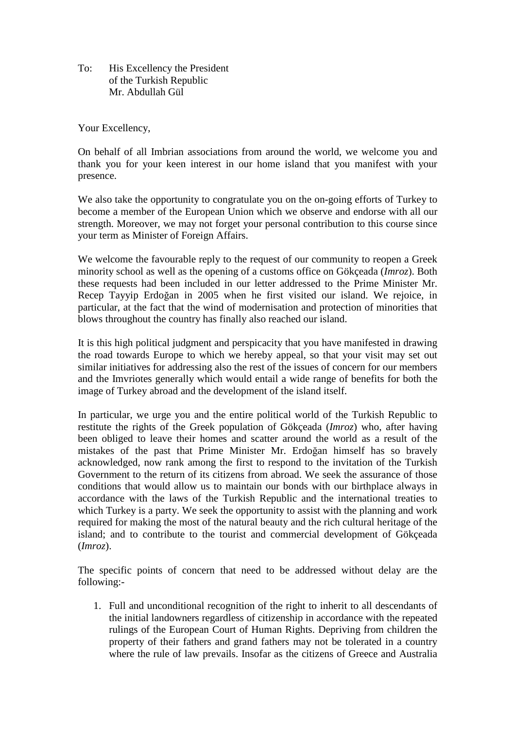To: His Excellency the President of the Turkish Republic Mr. Abdullah Gül

Your Excellency,

On behalf of all Imbrian associations from around the world, we welcome you and thank you for your keen interest in our home island that you manifest with your presence.

We also take the opportunity to congratulate you on the on-going efforts of Turkey to become a member of the European Union which we observe and endorse with all our strength. Moreover, we may not forget your personal contribution to this course since your term as Minister of Foreign Affairs.

We welcome the favourable reply to the request of our community to reopen a Greek minority school as well as the opening of a customs office on Gökçeada (*Imroz*). Both these requests had been included in our letter addressed to the Prime Minister Mr. Recep Tayyip Erdoğan in 2005 when he first visited our island. We rejoice, in particular, at the fact that the wind of modernisation and protection of minorities that blows throughout the country has finally also reached our island.

It is this high political judgment and perspicacity that you have manifested in drawing the road towards Europe to which we hereby appeal, so that your visit may set out similar initiatives for addressing also the rest of the issues of concern for our members and the Imvriotes generally which would entail a wide range of benefits for both the image of Turkey abroad and the development of the island itself.

In particular, we urge you and the entire political world of the Turkish Republic to restitute the rights of the Greek population of Gökçeada (*Imroz*) who, after having been obliged to leave their homes and scatter around the world as a result of the mistakes of the past that Prime Minister Mr. Erdoğan himself has so bravely acknowledged, now rank among the first to respond to the invitation of the Turkish Government to the return of its citizens from abroad. We seek the assurance of those conditions that would allow us to maintain our bonds with our birthplace always in accordance with the laws of the Turkish Republic and the international treaties to which Turkey is a party. We seek the opportunity to assist with the planning and work required for making the most of the natural beauty and the rich cultural heritage of the island; and to contribute to the tourist and commercial development of Gökçeada (*Imroz*).

The specific points of concern that need to be addressed without delay are the following:-

1. Full and unconditional recognition of the right to inherit to all descendants of the initial landowners regardless of citizenship in accordance with the repeated rulings of the European Court of Human Rights. Depriving from children the property of their fathers and grand fathers may not be tolerated in a country where the rule of law prevails. Insofar as the citizens of Greece and Australia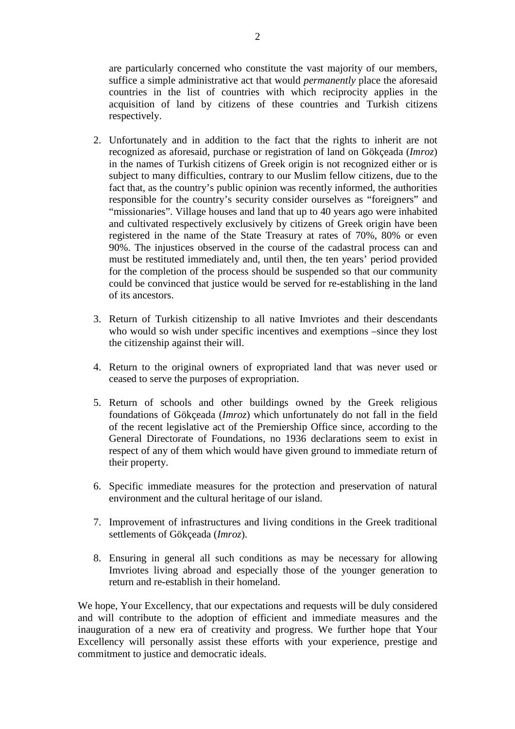are particularly concerned who constitute the vast majority of our members, suffice a simple administrative act that would *permanently* place the aforesaid countries in the list of countries with which reciprocity applies in the acquisition of land by citizens of these countries and Turkish citizens respectively.

- 2. Unfortunately and in addition to the fact that the rights to inherit are not recognized as aforesaid, purchase or registration of land on Gökçeada (*Imroz*) in the names of Turkish citizens of Greek origin is not recognized either or is subject to many difficulties, contrary to our Muslim fellow citizens, due to the fact that, as the country's public opinion was recently informed, the authorities responsible for the country's security consider ourselves as "foreigners" and "missionaries". Village houses and land that up to 40 years ago were inhabited and cultivated respectively exclusively by citizens of Greek origin have been registered in the name of the State Treasury at rates of 70%, 80% or even 90%. The injustices observed in the course of the cadastral process can and must be restituted immediately and, until then, the ten years' period provided for the completion of the process should be suspended so that our community could be convinced that justice would be served for re-establishing in the land of its ancestors.
- 3. Return of Turkish citizenship to all native Imvriotes and their descendants who would so wish under specific incentives and exemptions –since they lost the citizenship against their will.
- 4. Return to the original owners of expropriated land that was never used or ceased to serve the purposes of expropriation.
- 5. Return of schools and other buildings owned by the Greek religious foundations of Gökçeada (*Imroz*) which unfortunately do not fall in the field of the recent legislative act of the Premiership Office since, according to the General Directorate of Foundations, no 1936 declarations seem to exist in respect of any of them which would have given ground to immediate return of their property.
- 6. Specific immediate measures for the protection and preservation of natural environment and the cultural heritage of our island.
- 7. Improvement of infrastructures and living conditions in the Greek traditional settlements of Gökçeada (*Imroz*).
- 8. Ensuring in general all such conditions as may be necessary for allowing Imvriotes living abroad and especially those of the younger generation to return and re-establish in their homeland.

We hope, Your Excellency, that our expectations and requests will be duly considered and will contribute to the adoption of efficient and immediate measures and the inauguration of a new era of creativity and progress. We further hope that Your Excellency will personally assist these efforts with your experience, prestige and commitment to justice and democratic ideals.